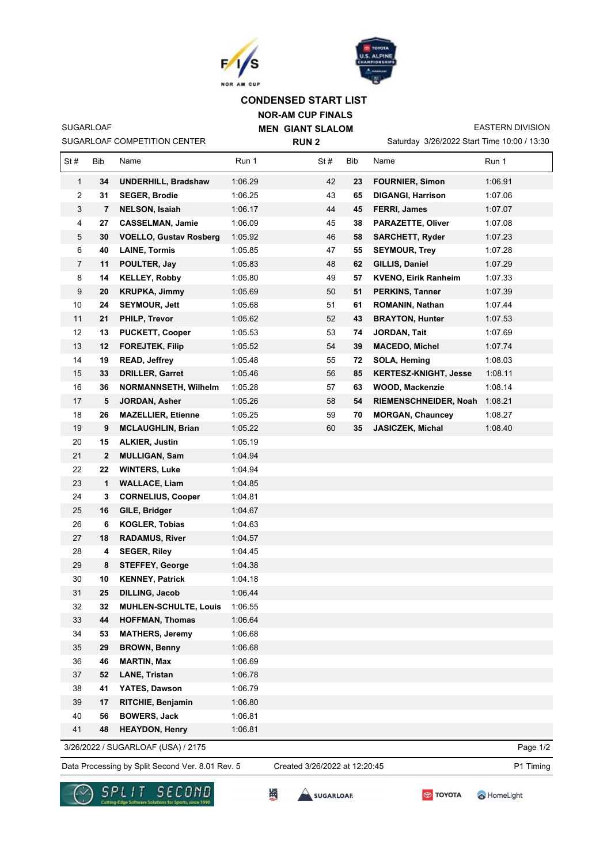



## **CONDENSED START LIST**

**NOR-AM CUP FINALS MEN GIANT SLALOM RUN 2**

SUGARLOAF COMPETITION CENTER

SUGARLOAF

Saturday 3/26/2022 Start Time 10:00 / 13:30

EASTERN DIVISION

| St#            | Bib | Name                                             | Run 1   | St#                           | Bib | Name                         | Run 1     |
|----------------|-----|--------------------------------------------------|---------|-------------------------------|-----|------------------------------|-----------|
| $\mathbf{1}$   | 34  | <b>UNDERHILL, Bradshaw</b>                       | 1:06.29 | 42                            | 23  | <b>FOURNIER, Simon</b>       | 1:06.91   |
| 2              | 31  | <b>SEGER, Brodie</b>                             | 1:06.25 | 43                            | 65  | <b>DIGANGI, Harrison</b>     | 1:07.06   |
| 3              | 7   | <b>NELSON, Isaiah</b>                            | 1:06.17 | 44                            | 45  | <b>FERRI, James</b>          | 1:07.07   |
| 4              | 27  | <b>CASSELMAN, Jamie</b>                          | 1:06.09 | 45                            | 38  | <b>PARAZETTE, Oliver</b>     | 1:07.08   |
| 5              | 30  | <b>VOELLO, Gustav Rosberg</b>                    | 1:05.92 | 46                            | 58  | <b>SARCHETT, Ryder</b>       | 1:07.23   |
| 6              | 40  | <b>LAINE, Tormis</b>                             | 1:05.85 | 47                            | 55  | <b>SEYMOUR, Trey</b>         | 1:07.28   |
| $\overline{7}$ | 11  | POULTER, Jay                                     | 1:05.83 | 48                            | 62  | GILLIS, Daniel               | 1:07.29   |
| 8              | 14  | <b>KELLEY, Robby</b>                             | 1:05.80 | 49                            | 57  | <b>KVENO, Eirik Ranheim</b>  | 1:07.33   |
| 9              | 20  | <b>KRUPKA, Jimmy</b>                             | 1:05.69 | 50                            | 51  | <b>PERKINS, Tanner</b>       | 1:07.39   |
| 10             | 24  | <b>SEYMOUR, Jett</b>                             | 1:05.68 | 51                            | 61  | ROMANIN, Nathan              | 1:07.44   |
| 11             | 21  | <b>PHILP, Trevor</b>                             | 1:05.62 | 52                            | 43  | <b>BRAYTON, Hunter</b>       | 1:07.53   |
| 12             | 13  | <b>PUCKETT, Cooper</b>                           | 1:05.53 | 53                            | 74  | JORDAN, Tait                 | 1:07.69   |
| 13             | 12  | <b>FOREJTEK, Filip</b>                           | 1:05.52 | 54                            | 39  | <b>MACEDO, Michel</b>        | 1:07.74   |
| 14             | 19  | <b>READ, Jeffrey</b>                             | 1:05.48 | 55                            | 72  | SOLA, Heming                 | 1:08.03   |
| 15             | 33  | <b>DRILLER, Garret</b>                           | 1:05.46 | 56                            | 85  | <b>KERTESZ-KNIGHT, Jesse</b> | 1:08.11   |
| 16             | 36  | <b>NORMANNSETH, Wilhelm</b>                      | 1:05.28 | 57                            | 63  | <b>WOOD, Mackenzie</b>       | 1:08.14   |
| 17             | 5   | <b>JORDAN, Asher</b>                             | 1:05.26 | 58                            | 54  | RIEMENSCHNEIDER, Noah        | 1:08.21   |
| 18             | 26  | <b>MAZELLIER, Etienne</b>                        | 1:05.25 | 59                            | 70  | <b>MORGAN, Chauncey</b>      | 1:08.27   |
| 19             | 9   | <b>MCLAUGHLIN, Brian</b>                         | 1:05.22 | 60                            | 35  | <b>JASICZEK, Michal</b>      | 1:08.40   |
| 20             | 15  | <b>ALKIER, Justin</b>                            | 1:05.19 |                               |     |                              |           |
| 21             | 2   | <b>MULLIGAN, Sam</b>                             | 1:04.94 |                               |     |                              |           |
| 22             | 22  | <b>WINTERS, Luke</b>                             | 1:04.94 |                               |     |                              |           |
| 23             | 1   | <b>WALLACE, Liam</b>                             | 1:04.85 |                               |     |                              |           |
| 24             | 3   | <b>CORNELIUS, Cooper</b>                         | 1:04.81 |                               |     |                              |           |
| 25             | 16  | GILE, Bridger                                    | 1:04.67 |                               |     |                              |           |
| 26             | 6   | <b>KOGLER, Tobias</b>                            | 1:04.63 |                               |     |                              |           |
| 27             | 18  | <b>RADAMUS, River</b>                            | 1:04.57 |                               |     |                              |           |
| 28             | 4   | <b>SEGER, Riley</b>                              | 1:04.45 |                               |     |                              |           |
| 29             | 8   | <b>STEFFEY, George</b>                           | 1:04.38 |                               |     |                              |           |
| 30             | 10  | <b>KENNEY, Patrick</b>                           | 1:04.18 |                               |     |                              |           |
| 31             | 25  | <b>DILLING, Jacob</b>                            | 1:06.44 |                               |     |                              |           |
| 32             | 32  | <b>MUHLEN-SCHULTE, Louis</b>                     | 1:06.55 |                               |     |                              |           |
| 33             | 44  | <b>HOFFMAN, Thomas</b>                           | 1:06.64 |                               |     |                              |           |
| 34             | 53  | <b>MATHERS, Jeremy</b>                           | 1:06.68 |                               |     |                              |           |
| 35             | 29  | <b>BROWN, Benny</b>                              | 1:06.68 |                               |     |                              |           |
| 36             | 46  | <b>MARTIN, Max</b>                               | 1:06.69 |                               |     |                              |           |
| 37             | 52  | <b>LANE, Tristan</b>                             | 1:06.78 |                               |     |                              |           |
| 38             | 41  | YATES, Dawson                                    | 1:06.79 |                               |     |                              |           |
| 39             | 17  | RITCHIE, Benjamin                                | 1:06.80 |                               |     |                              |           |
| 40             | 56  | <b>BOWERS, Jack</b>                              | 1:06.81 |                               |     |                              |           |
| 41             | 48  | <b>HEAYDON, Henry</b>                            | 1:06.81 |                               |     |                              |           |
|                |     | 3/26/2022 / SUGARLOAF (USA) / 2175               |         |                               |     |                              | Page 1/2  |
|                |     | Data Processing by Split Second Ver. 8.01 Rev. 5 |         | Created 3/26/2022 at 12:20:45 |     |                              | P1 Timing |

SUGARLOAR



跪